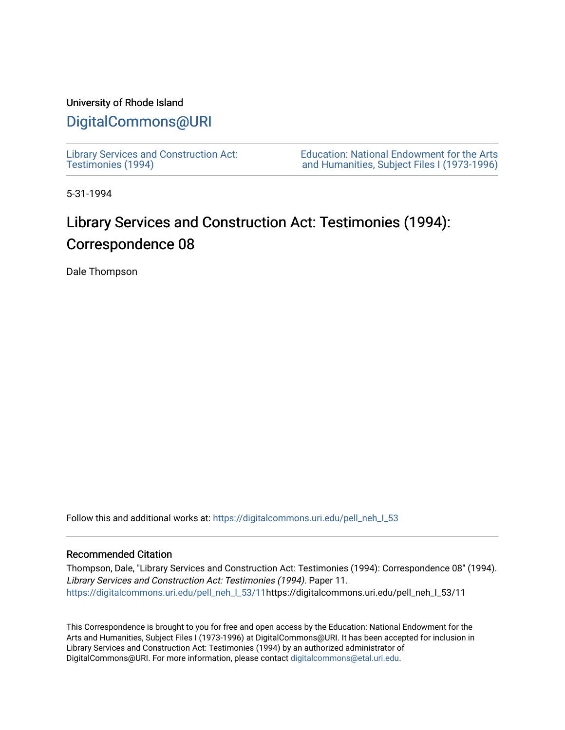### University of Rhode Island

## [DigitalCommons@URI](https://digitalcommons.uri.edu/)

[Library Services and Construction Act:](https://digitalcommons.uri.edu/pell_neh_I_53)  [Testimonies \(1994\)](https://digitalcommons.uri.edu/pell_neh_I_53) 

[Education: National Endowment for the Arts](https://digitalcommons.uri.edu/pell_neh_I)  [and Humanities, Subject Files I \(1973-1996\)](https://digitalcommons.uri.edu/pell_neh_I) 

5-31-1994

# Library Services and Construction Act: Testimonies (1994): Correspondence 08

Dale Thompson

Follow this and additional works at: https://digitalcommons.uri.edu/pell\_neh\_I\_53

#### Recommended Citation

Thompson, Dale, "Library Services and Construction Act: Testimonies (1994): Correspondence 08" (1994). Library Services and Construction Act: Testimonies (1994). Paper 11. [https://digitalcommons.uri.edu/pell\\_neh\\_I\\_53/11h](https://digitalcommons.uri.edu/pell_neh_I_53/11?utm_source=digitalcommons.uri.edu%2Fpell_neh_I_53%2F11&utm_medium=PDF&utm_campaign=PDFCoverPages)ttps://digitalcommons.uri.edu/pell\_neh\_I\_53/11

This Correspondence is brought to you for free and open access by the Education: National Endowment for the Arts and Humanities, Subject Files I (1973-1996) at DigitalCommons@URI. It has been accepted for inclusion in Library Services and Construction Act: Testimonies (1994) by an authorized administrator of DigitalCommons@URI. For more information, please contact [digitalcommons@etal.uri.edu.](mailto:digitalcommons@etal.uri.edu)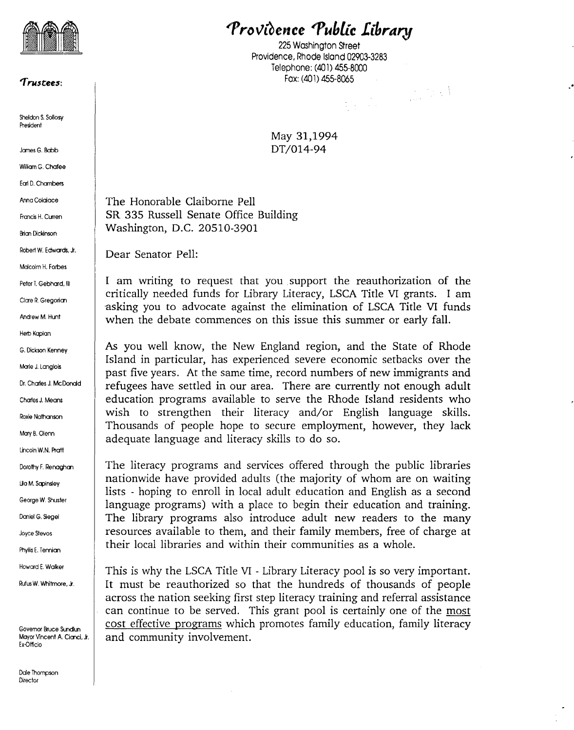

#### ~ruscees:

Sheldon S. Sollosy President

James G. Babb

William G. Chafee

Ecr1 D. Chambers

Anna Colaiace

Francis H. Curren

Brian Dickinson

Robert W. Edwards, Jr.

Malcolm H. Forbes

Peter T. Gebhard, III

Clare R. Gregorian

Andrew M. Hunt

Herb Kaplan

G. Dickson Kenney

Marie J. Langlois

Dr. Charles J. McDonald

Charies J. Means

Roxie Nathanson

Mary B. Olenn

Lincoln W.N. Pratt

Dorothy F. Renaghan

Lila M. Sapinsley

George W. Shuster

Daniel G. Siegel

Joyce Stevos

Phyllis E. Tennian

Howard E. Walker

Rufus W. Whitmore, Jr.

Governor Bruce Sundlun Mayor Vincent A. Cianci, Jr. Ex-Officio

Dale Thompson **Director** 

Providence *Public Library* 

225 Washington Street Providence, Rhode Island 02903-3283 Telephone: (401) 455-8000 Fax: (401) 455-8065<br> $\frac{1}{2}$ 

..

May 31,1994 DT/014-94

The Honorable Claiborne Pell SR 335 Russell Senate Office Building Washington, D.C. 20510-3901

Dear Senator Pell:

I am writing to request that you support the reauthorization of the critically needed funds for Library Literacy, LSCA Title VI grants. I am asking you to advocate against the elimination of LSCA Title VI funds when the debate commences on this issue this summer or early fall.

As you well know, the New England region, and the State of Rhode Island in particular, has experienced severe economic setbacks over the past five years. At the same time, record numbers of new immigrants and refugees have settled in our area. There are currently not enough adult education programs available to serve the Rhode Island residents who wish to strengthen their literacy and/or English language skills. Thousands of people hope to secure employment, however, they lack adequate language and literacy skills to do so.

The literacy programs and services offered through the public libraries nationwide have provided adults (the majority of whom are on waiting lists - hoping to enroll in local adult education and English as a second language programs) with a place to begin their education and training. The library programs also introduce adult new readers to the many resources available to them, and their family members, free of charge at their local libraries and within their communities as a whole.

This is why the LSCA Title VI - Library Literacy pool is so very important. It must be reauthorized so that the hundreds of thousands of people across the nation seeking first step literacy training and referral assistance can continue to be served. This grant pool is certainly one of the most cost effective programs which promotes family education, family literacy and community involvement.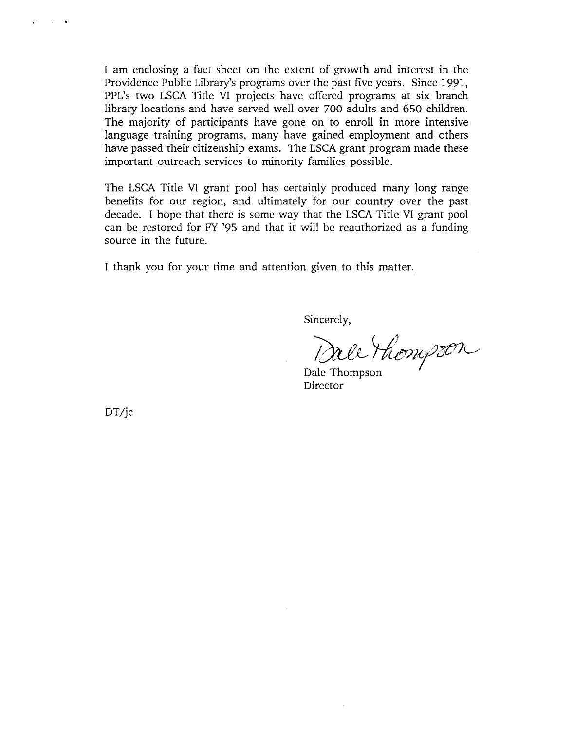I am enclosing a fact sheet on the extent of growth and interest in the Providence Public Library's programs over the past five years. Since 1991, PPL's two LSCA Title VI projects have offered programs at six branch library locations and have served well over 700 adults and 650 children. The majority of participants have gone on to enroll in more intensive language training programs, many have gained employment and others have passed their citizenship exams. The LSCA grant program made these important outreach services to minority families possible.

The LSCA Title VI grant pool has certainly produced many long range benefits for our region, and ultimately for our country over the past decade. I hope that there is some way that the LSCA Title VI grant pool can be restored for FY '95 and that it will be reauthorized as a funding source in the future.

I thank you for your time and attention given to this matter.

Sincerely,

Dale Thompson

Dale Thompson **Director** 

DT/jc